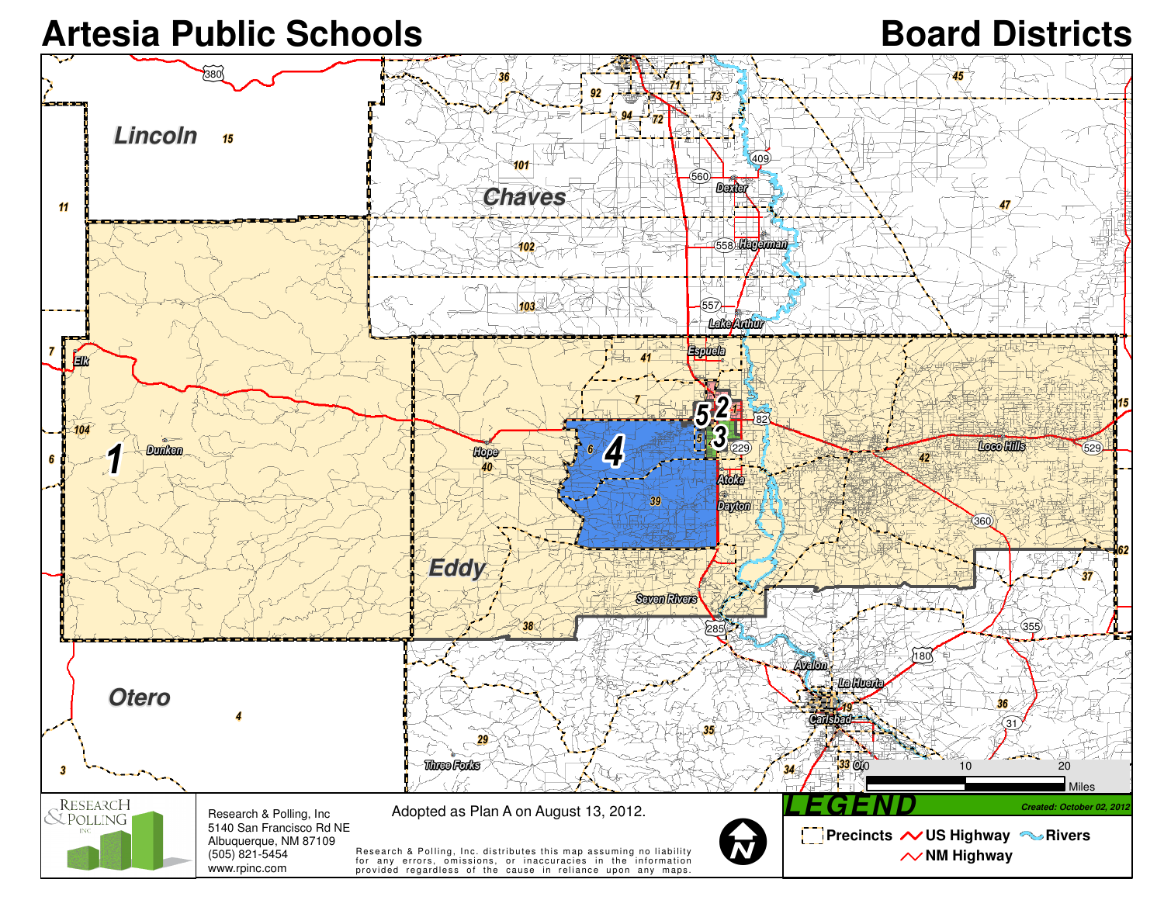## Artesia Public Schools<br> **Board Districts**

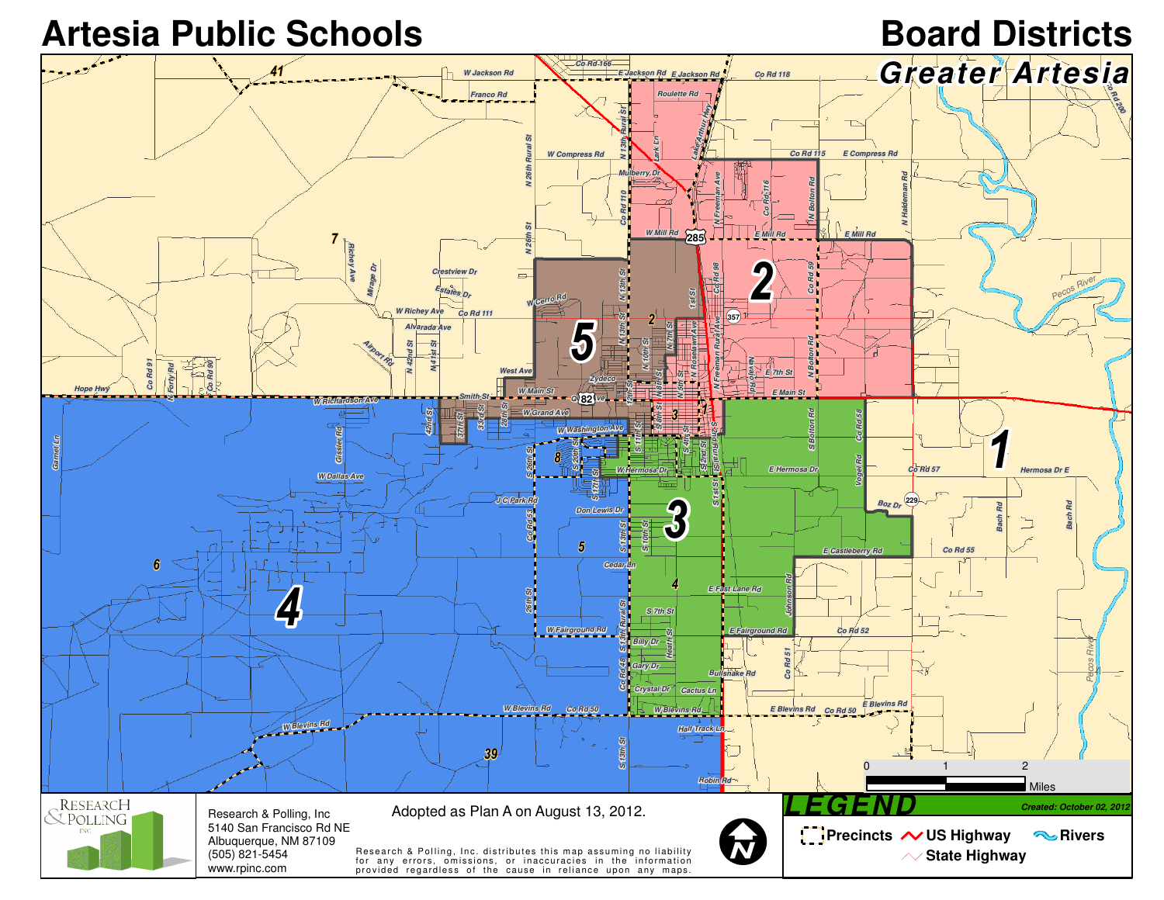Artesia Public Schools *Board Districts*